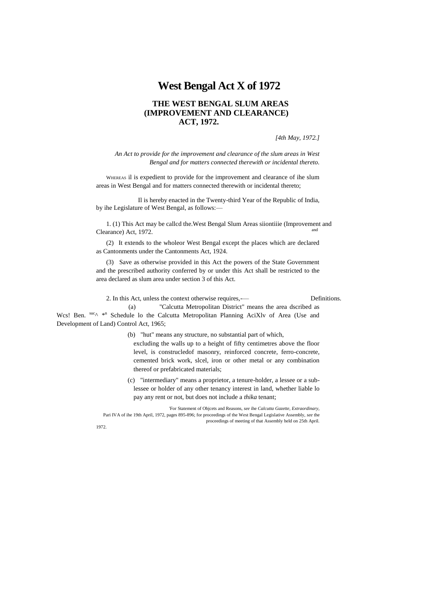# **West Bengal Act X of 1972**

## **THE WEST BENGAL SLUM AREAS (IMPROVEMENT AND CLEARANCE) ACT, 1972.**

*[4th May, 1972.]*

*An Act to provide for the improvement and clearance of the slum areas in West Bengal and for matters connected therewith or incidental thereto.*

WHEREAS il is expedient to provide for the improvement and clearance of ihe slum areas in West Bengal and for matters connected therewith or incidental thereto;

Il is hereby enacted in the Twenty-third Year of the Republic of India, by ihe Legislature of West Bengal, as follows:—

1. (1) This Act may be callcd the.West Bengal Slum Areas siiontiiie (Improvement and Clearance) Act, 1972.

(2) It extends to the wholeor West Bengal except the places which are declared as Cantonments under the Cantonments Act, 1924.

(3) Save as otherwise provided in this Act the powers of the State Government and the prescribed authority conferred by or under this Act shall be restricted to the area declared as slum area under section 3 of this Act.

2. In this Act, unless the context otherwise requires,— Definitions.

(a) "Calcutta Metropolitan District" means the area dscribed as Wcs! Ben. Suco \*n Schedule lo the Calcutta Metropolitan Planning AciXlv of Area (Use and Development of Land) Control Act, 1965;

(b) "hut" means any structure, no substantial part of which,

excluding the walls up to a height of fifty centimetres above the floor level, is construcledof masonry, reinforced concrete, ferro-concrete, cemented brick work, slcel, iron or other metal or any combination thereof or prefabricated materials;

(c) "intermediary" means a proprietor, a tenure-holder, a lessee or a sublessee or holder of any other tenancy interest in land, whether liable lo pay any rent or not, but does not include a *thika* tenant;

'For Statement of Objcets and Reasons, *see* ihe *Calcutta Gazette, Extraordinary,* Pari IVA of ihe 19th April, 1972, pages 895-896; for proceedings of the West Bengal Legislative Assembly, *see* the

proceedings of meeting of that Assembly held on 25th April.

1972.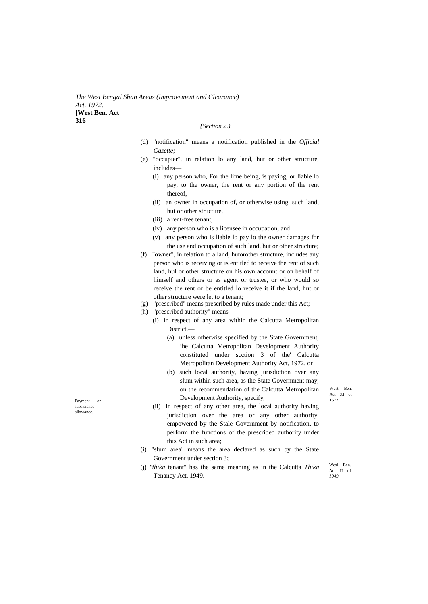*The West Bengal Shan Areas (Improvement and Clearance) Act. 1972.* **[West Ben. Act 316**

#### *{Section 2.)*

- (d) "notification" means a notification published in the *Official Gazette;*
- (e) "occupier", in relation lo any land, hut or other structure, includes—
	- (i) any person who, For the lime being, is paying, or liable lo pay, to the owner, the rent or any portion of the rent thereof,
	- (ii) an owner in occupation of, or otherwise using, such land, hut or other structure,
	- (iii) a rent-free tenant,
	- (iv) any person who is a licensee in occupation, and
	- (v) any person who is liable lo pay lo the owner damages for the use and occupation of such land, hut or other structure;
- (f) "owner", in relation to a land, hutorother structure, includes any person who is receiving or is entitled to receive the rent of such land, hul or other structure on his own account or on behalf of himself and others or as agent or trustee, or who would so receive the rent or be entitled lo receive it if the land, hut or other structure were let to a tenant;
- (g) "prescribed" means prescribed by rules made under this Act;
- (h) "prescribed authority" means—
	- (i) in respect of any area within the Calcutta Metropolitan District,—
		- (a) unless otherwise specified by the State Government, ihe Calcutta Metropolitan Development Authority constituted under scction 3 of the' Calcutta Metropolitan Development Authority Act, 1972, or
- Payment or **1572**, Payment Authority, specify, 1572, (b) such local authority, having jurisdiction over any slum within such area, as the State Government may, on the recommendation of the Calcutta Metropolitan

West Ben Acl XI of

- (ii) in respect of any other area, the local authority having jurisdiction over the area or any other authority, empowered by the Stale Government by notification, to perform the functions of the prescribed authority under this Act in such area;
- (i) "slum area" means the area declared as such by the State Government under section 3;
- (j) *"thika* tenant" has the same meaning as in the Calcutta *Thika*  Tenancy Act, 1949.

Wcsl Ben. Acl II of *1949,*

subsisicncc allowance.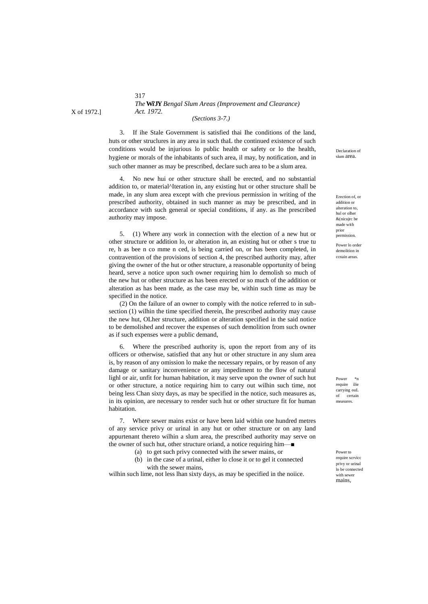## 317 *The***Wi'JY** *Bengal Slum Areas (Improvement and Clearance) Act. 1972.*

*(Sections 3-7.)*

3. If ihe Stale Government is satisfied thai Ihe conditions of the land, huts or other struclures in any area in such thaL the continued existence of such conditions would be injurious lo public health or safety or lo the health, hygiene or morals of the inhabitants of such area, il may, by notification, and in such other manner as may be prescribed, declare such area to be a slum area.

4. No new hui or other structure shall be erected, and no substantial addition to, or material^Iteration in, any existing hut or other structure shall be made, in any slum area except with che previous permission in writing of the prescribed authority, obtained in such manner as may be prescribed, and in accordance with such general or special conditions, if any. as Ihe prescribed authority may impose.

5. (1) Where any work in connection with the election of a new hut or other structure or addition lo, or alteration in, an existing hut or other s true tu re, h as bee n co mme n ced, is being carried on, or has been completed, in contravention of the provisions of section 4, the prescribed authority may, after giving the owner of the hut or other structure, a reasonable opportunity of being heard, serve a notice upon such owner requiring him lo demolish so much of the new hut or other structure as has been erected or so much of the addition or alteration as has been made, as the case may be, within such time as may be specified in the notice.

(2) On the failure of an owner to comply with the notice referred to in subsection (1) wilhin the time specified therein, Ihe prescribed authority may cause the new hut, OLher structure, addition or alteration specified in the said notice to be demolished and recover the expenses of such demolition from such owner as if such expenses were a public demand,

6. Where the prescribed authority is, upon the report from any of its officers or otherwise, satisfied that any hut or other structure in any slum area is, by reason of any omission lo make the necessary repairs, or by reason of any damage or sanitary inconvenience or any impediment to the flow of natural lighl or air, unfit for human habitation, it may serve upon the owner of such hut or other structure, a notice requiring him to carry out wilhin such time, not being less Chan sixty days, as may be specified in the notice, such measures as, in its opinion, are necessary to render such hut or other structure fit for human habitation.

7. Where sewer mains exist or have been laid within one hundred metres of any service privy or urinal in any hut or other structure or on any land appurtenant thereto wilhin a slum area, the prescribed authority may serve on the owner of such hut, other structure oriand, a notice requiring him—■

- (a) to get such privy connected with ihe sewer mains, or
- (b) in the case of a urinal, either lo close it or to gel it connected with the sewer mains,

wilhin such lime, not less lhan sixty days, as may be specified in the noiice.

Declaration of slum area.

Erection of, or addition or alteration to, hul or olher &(nicujrc be made with prior permission.

Power lo order demolition in ccnain areas.

Power \*n require ilie carrying ouL of certain measures.

Power to require scrvicc privy or urinal lo be connected with sewer mains,

X of 1972.]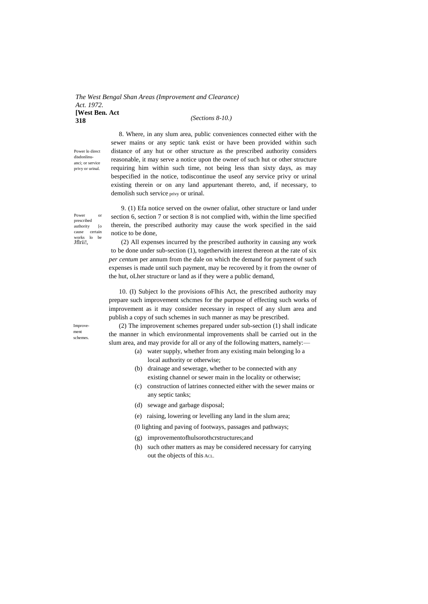#### *The West Bengal Shan Areas (Improvement and Clearance) Act. 1972.* **[West Ben. Act 318** *(Sections 8-10.)*

Power lo direct disdonlinuanci; or service privy or urinal.

8. Where, in any slum area, public conveniences connected either with the sewer mains or any septic tank exist or have been provided within such distance of any hut or other structure as the prescribed authority considers reasonable, it may serve a notice upon the owner of such hut or other structure requiring him within such time, not being less than sixty days, as may bespecified in the notice, todiscontinue the useof any service privy or urinal existing therein or on any land appurtenant thereto, and, if necessary, to demolish such service privy or urinal.

Power or prescribed authority [o cause certain works lo be Jflrii!,

9. (1) Efa notice served on the owner ofaliut, other structure or land under section 6, section 7 or section 8 is not complied with, within the lime specified therein, the prescribed authority may cause the work specified in the said notice to be done,

(2) All expenses incurred by the prescribed authority in causing any work to be done under sub-section (1), togetherwith interest thereon at the rate of six *per centum* per annum from the dale on which the demand for payment of such expenses is made until such payment, may be recovered by it from the owner of the hut, oLher structure or land as if they were a public demand,

10. (I) Subject lo the provisions oFlhis Act, the prescribed authority may prepare such improvement schcmes for the purpose of effecting such works of improvement as it may consider necessary in respect of any slum area and publish a copy of such schemes in such manner as may be prescribed.

(2) The improvement schemes prepared under sub-section (1) shall indicate the manner in which environmental improvements shall be carried out in the slum area, and may provide for all or any of the following matters, namely:—

- (a) water supply, whether from any existing main belonging lo a local authority or otherwise;
- (b) drainage and sewerage, whether to be connected with any existing channel or sewer main in the locality or otherwise;
- (c) construction of latrines connected either with the sewer mains or any septic tanks;
- (d) sewage and garbage disposal;
- (e) raising, lowering or levelling any land in the slum area;
- (0 lighting and paving of footways, passages and pathways;
- (g) improvementofhulsorothcrstructures;and
- (h) such other matters as may be considered necessary for carrying out the objects of this ACL.

Improvement schemes.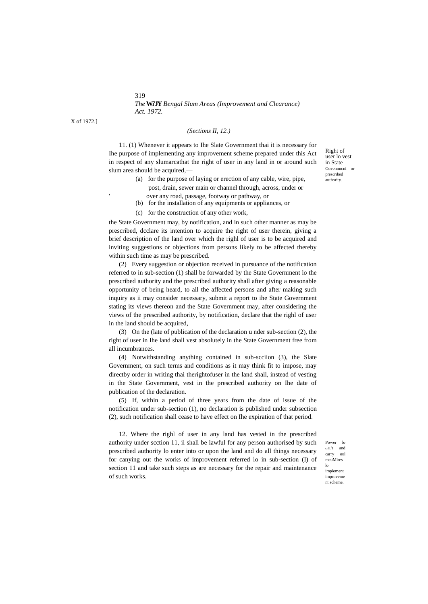319 *The***Wi'JY** *Bengal Slum Areas (Improvement and Clearance) Act. 1972.*

X of 1972.]

'

## *(Sections II, 12.)*

11. (1) Whenever it appears to Ihe Slate Government thai it is necessary for Ihe purpose of implementing any improvement scheme prepared under this Act in respect of any slumarcathat the right of user in any land in or around such slum area should be acquired,—

- (a) for the purpose of laying or erection of any cable, wire, pipe, post, drain, sewer main or channel through, across, under or
- over any road, passage, footway or pathway, or (b) for the installation of any equipments or appliances, or
- (c) for the construction of any other work,

the State Government may, by notification, and in such other manner as may be prescribed, dcclare its intention to acquire the right of user therein, giving a brief description of the land over which the righl of user is to be acquired and inviting suggestions or objections from persons likely to be affected thereby within such time as may be prescribed.

(2) Every suggestion or objection received in pursuance of the notification referred to in sub-section (1) shall be forwarded by the State Government lo the prescribed authority and the prescribed authority shall after giving a reasonable opportunity of being heard, to all the affected persons and after making such inquiry as ii may consider necessary, submit a report to ihe State Government stating its views thereon and the State Government may, after considering the views of the prescribed authority, by notification, declare that the righl of user in the land should be acquired,

(3) On the (late of publication of the declaration u nder sub-section (2), the right of user in Ihe land shall vest absolutely in the State Government free from all incumbrances.

(4) Notwithstanding anything contained in sub-scciion (3), the Slate Government, on such terms and conditions as it may think fit to impose, may directby order in writing thai therightofuser in the land shall, instead of vesting in the State Government, vest in the prescribed authority on Ihe date of publication of the declaration.

(5) If, within a period of three years from the date of issue of the notification under sub-section (1), no declaration is published under subsection (2), such notification shall cease to have effect on Ihe expiration of that period.

12. Where the righl of user in any land has vested in the prescribed authority under scction 11, ii shall be lawful for any person authorised by such prescribed authority lo enter into or upon the land and do all things necessary for canying out the works of improvement referred lo in sub-section (I) of section 11 and take such steps as are necessary for the repair and maintenance of such works.

Power lo cnlL'r and carry oul mcuMires

lo implement improveme nt scheme.

Right of user lo vest in State Govennncni prescribed authority.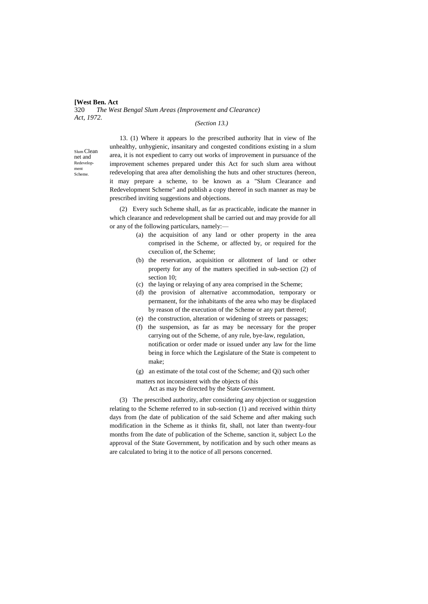## **[West Ben. Act** 320 *The West Bengal Slum Areas (Improvement and Clearance) Act, 1972.*

## *(Section 13.)*

Slum Clean net and Redevelopment Scheme.

13. (1) Where it appears lo the prescribed authority lhat in view of Ihe unhealthy, unhygienic, insanitary and congested conditions existing in a slum area, it is not expedient to carry out works of improvement in pursuance of the improvement schemes prepared under this Act for such slum area without redeveloping that area after demolishing the huts and other structures (hereon, it may prepare a scheme, to be known as a "Slum Clearance and Redevelopment Scheme" and publish a copy thereof in such manner as may be prescribed inviting suggestions and objections.

(2) Every such Scheme shall, as far as practicable, indicate the manner in which clearance and redevelopment shall be carried out and may provide for all or any of the following particulars, namely:—

- (a) the acquisition of any land or other property in the area comprised in the Scheme, or affected by, or required for the cxeculion of, the Scheme;
- (b) the reservation, acquisition or allotment of land or other property for any of the matters specified in sub-section (2) of section 10;
- (c) the laying or relaying of any area comprised in the Scheme;
- (d) the provision of alternative accommodation, temporary or permanent, for the inhabitants of the area who may be displaced by reason of the execution of the Scheme or any part thereof;
- (e) the construction, alteration or widening of streets or passages;
- (f) the suspension, as far as may be necessary for the proper carrying out of the Scheme, of any rule, bye-law, regulation, notification or order made or issued under any law for the lime being in force which the Legislature of the State is competent to make;
- (g) an estimate of the total cost of the Scheme; and Qi) such other

matters not inconsistent with the objects of this

Act as may be directed by the State Government.

(3) The prescribed authority, after considering any objection or suggestion relating to the Scheme referred to in sub-section (1) and received within thirty days from (he date of publication of the said Scheme and after making such modification in the Scheme as it thinks fit, shall, not later than twenty-four months from Ihe date of publication of the Scheme, sanction it, subject Lo the approval of the State Government, by notification and by such other means as are calculated to bring it to the notice of all persons concerned.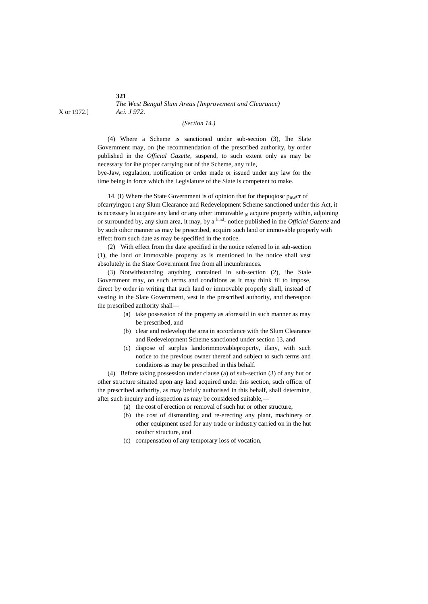*The West Bengal Slum Areas {Improvement and Clearance)* X or 1972.] *Aci. J 972.*

## *(Section 14.)*

(4) Where a Scheme is sanctioned under sub-section (3), Ihe Slate Government may, on (he recommendation of the prescribed authority, by order published in the *Official Gazette*, suspend, to such extent only as may be necessary for ihe proper carrying out of the Scheme, any rule,

bye-Jaw, regulation, notification or order made or issued under any law for the time being in force which the Legislature of the Slate is competent to make.

14. (I) Where the State Government is of opinion that for the puquosc  $p_{0W}$ cr of ofcarryingou t any Slum Clearance and Redevelopment Scheme sanctioned under this Act, it is nccessary lo acquire any land or any other immovable  $_{[0]}$  acquire property within, adjoining or surrounded by, any slum area, it may, by a <sup>lnnd</sup>- notice published in the *Official Gazette* and by such oihcr manner as may be prescribed, acquire such land or immovable properly with effect from such date as may be specified in the notice.

(2) With effect from the date specified in the notice referred lo in sub-section (1), the land or immovable property as is mentioned in ihe notice shall vest absolutely in the State Government free from all incumbrances.

(3) Notwithstanding anything contained in sub-section (2), ihe Stale Government may, on such terms and conditions as it may think fii to impose, direct by order in writing that such land or immovable properly shall, instead of vesting in the Slate Government, vest in the prescribed authority, and thereupon the prescribed authority shall—

- (a) take possession of the property as aforesaid in such manner as may be prescribed, and
- (b) clear and redevelop the area in accordance with the Slum Clearance and Redevelopment Scheme sanctioned under section 13, and
- (c) dispose of surplus landorimmovablepropcrty, ifany, with such notice to the previous owner thereof and subject to such terms and conditions as may be prescribed in this behalf.

(4) Before taking possession under clause (a) of sub-section (3) of any hut or other structure situated upon any land acquired under this section, such officer of the prescribed authority, as may beduly authorised in this behalf, shall determine, after such inquiry and inspection as may be considered suitable,—

- (a) the cost of erection or removal of such hut or other structure,
- (b) the cost of dismantling and re-erecting any plant, machinery or other equipment used for any trade or industry carried on in the hut oroihcr structure, and
- (c) compensation of any temporary loss of vocation,

**321**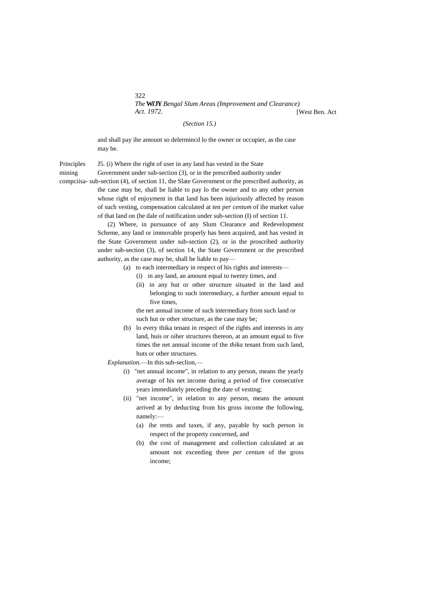$322$ *The***Wi'JY** *Bengal Slum Areas (Improvement and Clearance) Act. 1972.* [West Ben. Act

*(Section 15.)*

and shall pay ihe amount so delermincd lo the owner or occupier, as the case may be.

Principles J5. (i) Where the right of user in any land has vested in the State

mining Government under sub-section (3), or in the prescribed authority under

compciisa- sub-section (4), of section 11, the Slate Government or the prescribed authority, as the case may be, shall be liable to pay lo the owner and to any other person whose right of enjoyment in that land has been injuriously affected by reason of such vesting, compensation calculated at ten *per centum* of ihe market value of that land on (he dale of notification under sub-section (I) of section 11.

> (2) Where, in pursuance of any Slum Clearance and Redevelopment Scheme, any land or immovable properly has been acquired, and has vested in the State Government under sub-section (2), or in the proscribed authority under sub-section (3), of section 14, the State Government or the prescribed authority, as the case may be, shall be liable to pay—

- (a) to each intermediary in respect of his rights and interests—
	- (i) in any land, an amount equal to twenty times, and
	- (ii) in any hut or other structure situated in the land and belonging to such intermediary, a further amount equal to five times,

the net annual income of such intermediary from such land or such hut or other structure, as the case may be;

(b) lo every thika tenant in respect of the rights and interests in any land, huis or oiher structures thereon, at an amount equal to five times the net annual income of the *thika* tenant from such land, huts or other structures.

*Explanation.*—In this sub-seclion,—

- (i) "net annual income", in relation to any person, means the yearly average of his net income during a period of five consecutive years immediately preceding the date of vesting;
- (ii) "net income", in relation to any person, means the amount arrived at by deducting from his gross income the following, namely:—
	- (a) ihe rents and taxes, if any, payable by such person in respect of the property concerned, and
	- (b) the cost of management and collection calculated at an amount not exceeding three *per centum* of the gross income;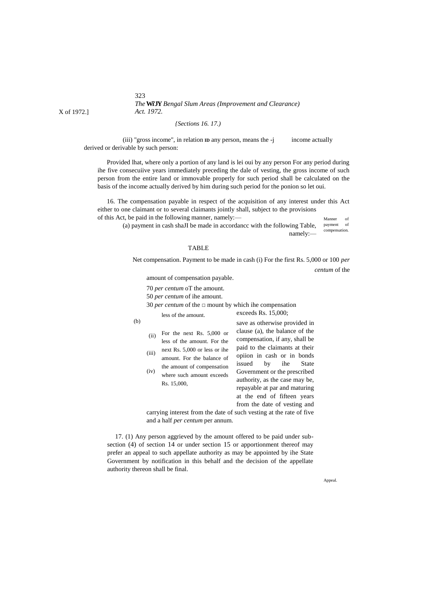323 *The***Wi'JY** *Bengal Slum Areas (Improvement and Clearance) Act. 1972.*

#### *{Sections 16. 17.)*

(iii) "gross income", in relation **ID** any person, means the -j income actually derived or derivable by such person:

Provided lhat, where only a portion of any land is lei oui by any person For any period during ihe five consecuiive years immediately preceding the dale of vesting, the gross income of such person from the entire land or immovable properly for such period shall be calculated on the basis of the income actually derived by him during such period for the ponion so let oui.

Manner of 16. The compensation payable in respect of the acquisition of any interest under this Act either to one claimant or to several claimants jointly shall, subject to the provisions of this Act, be paid in the following manner, namely:—

payment of

compensation. (a) payment in cash shaJI be made in accordancc with the following Table, namely:—

#### TABLE

Net compensation. Payment to be made in cash (i) For the first Rs. 5,000 or 100 *per centum* of the

amount of compensation payable.

70 *per centum* oT the amount.

50 *per centum* of ihe amount.

30 *per centum* of the □ mount by which ihe compensation

less of the amount. exceeds Rs. 15,000;

(b)

|                                                                     |                                          | save as otherwise provided in  |
|---------------------------------------------------------------------|------------------------------------------|--------------------------------|
| (ii)                                                                | For the next Rs. $5,000$ or              | clause (a), the balance of the |
|                                                                     | less of the amount. For the              | compensation, if any, shall be |
|                                                                     | next Rs. 5,000 or less or ihe            | paid to the claimants at their |
| (iii)                                                               | amount. For the balance of               | opiion in cash or in bonds     |
|                                                                     | the amount of compensation               | issued by ihe State            |
| (iv)                                                                | where such amount exceeds<br>Rs. 15,000, | Government or the prescribed   |
|                                                                     |                                          | authority, as the case may be, |
|                                                                     |                                          | repayable at par and maturing  |
|                                                                     |                                          | at the end of fifteen years    |
|                                                                     |                                          | from the date of vesting and   |
| corrying interest from the date of such vesting at the rate of five |                                          |                                |

carrying interest from the date of such vesting at the rate of five and a half *per centum* per annum.

17. (1) Any person aggrieved by the amount offered to be paid under subsection (4) of section 14 or under section 15 or apportionment thereof may prefer an appeal to such appellate authority as may be appointed by ihe State Government by notification in this behalf and the decision of the appellate authority thereon shall be final.

Appeal.

X of 1972.]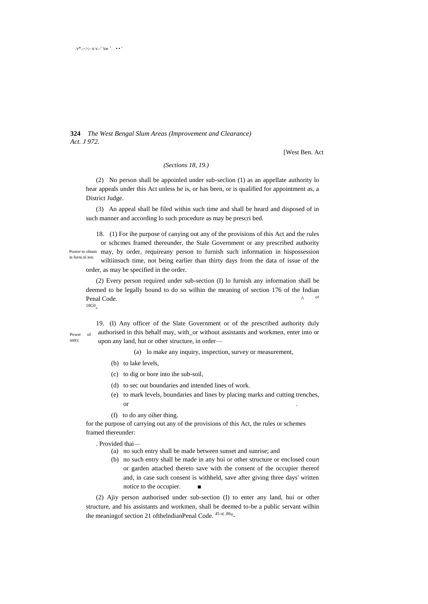**324** *The West Bengal Slum Areas (Improvement and Clearance) Act. J 972.*

[West Ben. Act

## *(Sections 18, 19.)*

(2) No person shall be appoinled under sub-seclion (1) as an appellate authority lo hear appeals under this Act unless he is, or has been, or is qualified for appointment as, a District Judge.

(3) An appeal shall be filed within such time and shall be heard and disposed of in such manner and according lo such procedure as may be prescri bed.

Poorer to obtain may, by order, requireany person to furnish such information in hispossession in forni.nl ion. 18. (1) For ihe purpose of canying out any of the provisions of this Act and the rules or schcmes framed thereunder, the Stale Government or any prescribed authority wiltiinsuch time, not being earlier than thirty days from the data of issue of the order, as may be specified in the order.

(2) Every person required under sub-section (I) lo furnish any information shall be deemed to be legally bound to do so wilhin the meaning of section 176 of the Indian Penal Code. 18G0 -

Power of unity.

19. (I) Any officer of the Slate Government or of the prescribed authority duly authorised in this behalf may, with\_or without assistants and workmen, enter into or upon any land, hut or other structure, in order—

(a) lo make any inquiry, inspection, survey or measurement,

- (b) to lake levels,
- (c) to dig or bore into ihe sub-soil,
- (d) to sec out boundaries and intended lines of work.
- (e) to mark levels, boundaries and lines by placing marks and cutting trenches, or .
- (f) to do any oiher thing.

for the purpose of carrying out any of the provisions of this Act, the rules or schemes framed thereunder:

. Provided thai—

- (a) no such entry shall be made between sunset and sunrise; and
- (b) no such entry shall be made in any hui or other structure or enclosed court or garden attached thereto save with the consent of the occupier thereof and, in case such consent is withheld, save after giving three days' written notice to the occupier.

(2) Ajiy person authorised under sub-section (I) to enter any land, hui or other structure, and his assistants and workmen, shall be deemed to-be a public servant wilhin the meaning of section 21 of the IndianPenal Code.  $45 \frac{\alpha}{66}$ -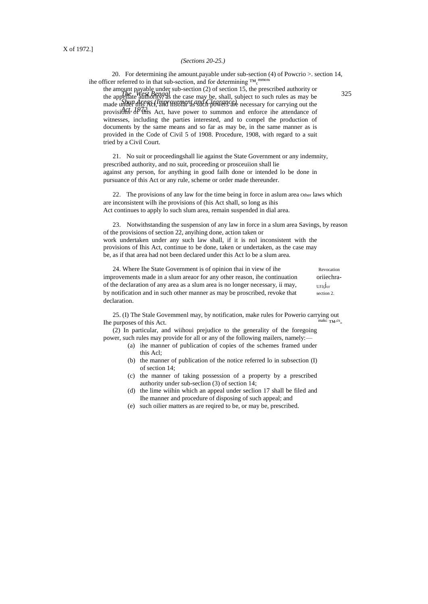#### *(Sections 20-25.)*

20. For determining ihe amount.payable under sub-section (4) of Powcrio >. section 14, ihe officer referred to in that sub-section, and for determining  $\text{TM}_{c}^{\text{mmon}}$ 

*The West Burney subsection (2)* of section 12, the presenced during of 325 *Shun Areas (Improvement and Clearance)* provisions of this Act, have power to summon and enforce ihe attendance of the amount payable under sub-section (2) of section 15, the prescribed authority or the appellate authority, as the case may be, shall, subject to such rules as may be made under this Act, and insofar as such powers are necessary for carrying out the witnesses, including the parties interested, and to compel the production of documents by the same means and so far as may be, in the same manner as is provided in the Code of Civil 5 of 1908. Procedure, 1908, with regard to a suit tried by a Civil Court.

21. No suit or proceedingshall lie against the State Government or any indemnity, prescribed authority, and no suit, proceeding or prosceuiion shall lie against any person, for anything in good failh done or intended lo be done in pursuance of this Act or any rule, scheme or order made thereunder.

22. The provisions of any law for the time being in force in aslum area Other laws which are inconsistent wilh ihe provisions of (his Act shall, so long as ihis Act continues to apply lo such slum area, remain suspended in dial area.

23. Notwithstanding the suspension of any law in force in a slum area Savings, by reason of the provisions of section 22, anyihing done, action taken or work undertaken under any such law shall, if it is nol inconsistent with the provisions of Ihis Act, continue to be done, taken or undertaken, as the case may be, as if that area had not been declared under this Act lo be a slum area.

24. Where Ihe State Government is of opinion thai in view of ihe Revocation improvements made in a slum areaor for any other reason, ihe continuation oriiechraof the declaration of any area as a slum area is no longer necessary, ii may,  $U_{\text{U1}}(j_{cr})$ by notification and in such other manner as may be proscribed, revoke that section 2. declaration.

25. (I) The Stale Govemmenl may, by notification, make rules for Powerio carrying out Ihe purposes of this Act.  $TM, CS$ 

(2) In particular, and wiihoui prejudice to the generality of the foregoing power, such rules may provide for all or any of the following mailers, namely:—

- (a) ihe manner of publication of copies of the schemes framed under this Acl;
- (b) the manner of publication of the notice referred lo in subsection (I) of section 14;
- (c) the manner of taking possession of a property by a prescribed authority under sub-seclion (3) of section 14;
- (d) the lime wiihin which an appeal under seclion 17 shall be filed and Ihe manner and procedure of disposing of such appeal; and
- (e) such oilier matters as are reqired to be, or may be, prescribed.